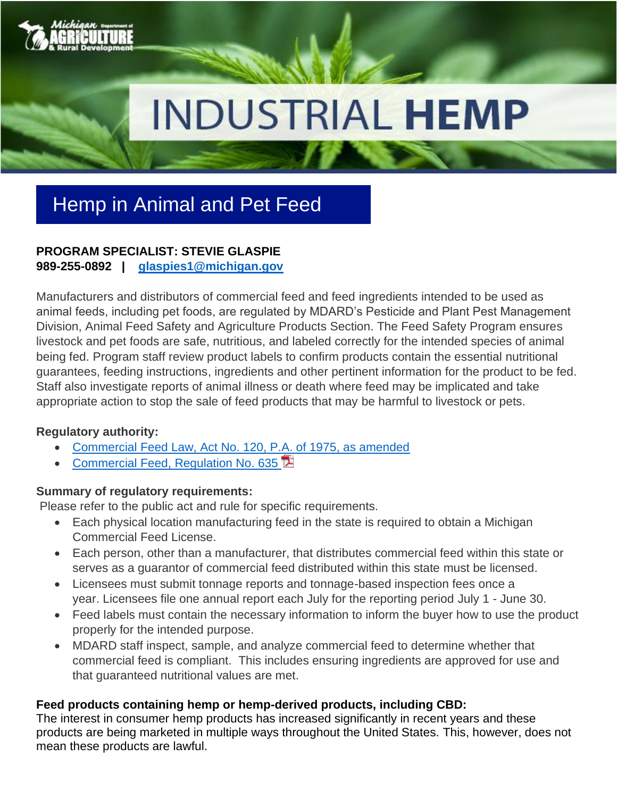

# **INDUSTRIAL HEMP**

# Hemp in Animal and Pet Feed

### **PROGRAM SPECIALIST: STEVIE GLASPIE 989-255-0892 | [glaspies1@michigan.gov](mailto:glaspies1@michigan.gov)**

Manufacturers and distributors of commercial feed and feed ingredients intended to be used as animal feeds, including pet foods, are regulated by MDARD's Pesticide and Plant Pest Management Division, Animal Feed Safety and Agriculture Products Section. The Feed Safety Program ensures livestock and pet foods are safe, nutritious, and labeled correctly for the intended species of animal being fed. Program staff review product labels to confirm products contain the essential nutritional guarantees, feeding instructions, ingredients and other pertinent information for the product to be fed. Staff also investigate reports of animal illness or death where feed may be implicated and take appropriate action to stop the sale of feed products that may be harmful to livestock or pets.

#### **Regulatory authority:**

- [Commercial Feed Law, Act No. 120, P.A. of 1975, as amended](http://legislature.mi.gov/doc.aspx?mcl-Act-120-of-1975)
- [Commercial Feed, Regulation No. 635](https://ars.apps.lara.state.mi.us/AdminCode/DownloadAdminCodeFile?FileName=228_10208_AdminCode.pdf)

# **Summary of regulatory requirements:**

Please refer to the public act and rule for specific requirements.

- Each physical location manufacturing feed in the state is required to obtain a Michigan Commercial Feed License.
- Each person, other than a manufacturer, that distributes commercial feed within this state or serves as a guarantor of commercial feed distributed within this state must be licensed.
- Licensees must submit tonnage reports and tonnage-based inspection fees once a year. Licensees file one annual report each July for the reporting period July 1 - June 30.
- Feed labels must contain the necessary information to inform the buyer how to use the product properly for the intended purpose.
- MDARD staff inspect, sample, and analyze commercial feed to determine whether that commercial feed is compliant. This includes ensuring ingredients are approved for use and that guaranteed nutritional values are met.

# **Feed products containing hemp or hemp-derived products, including CBD:**

The interest in consumer hemp products has increased significantly in recent years and these products are being marketed in multiple ways throughout the United States. This, however, does not mean these products are lawful.